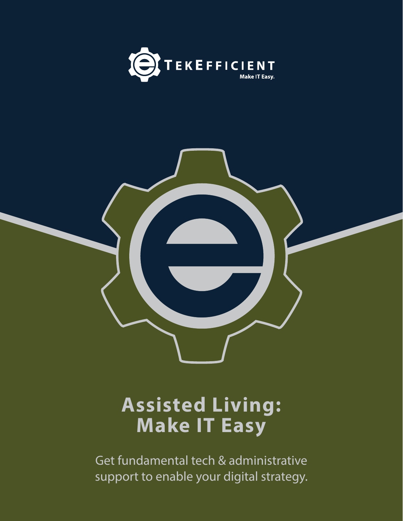



# **Assisted Living: Make IT Easy**

Get fundamental tech & administrative support to enable your digital strategy.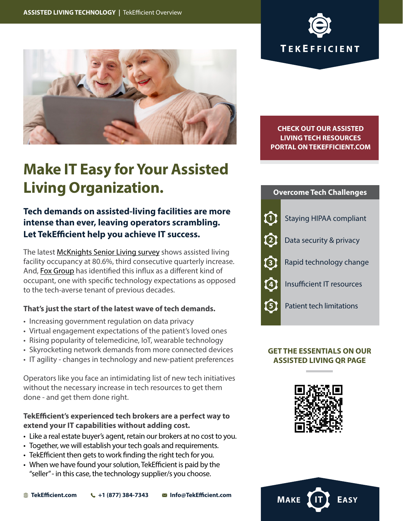



**Make IT Easy for Your Assisted Living Organization.**

# **Tech demands on assisted-living facilities are more intense than ever, leaving operators scrambling. Let TekEfficient help you achieve IT success.**

The latest [McKnights Senior Living survey](https://www.mcknightsseniorliving.com/home/news/senior-living-occupancy-increases-for-third-quarter-in-a-row-led-by-assisted-living/) shows assisted living facility occupancy at 80.6%, third consecutive quarterly increase. And, [Fox Group](https://www.foxgrp.com/long-term-care/senior-living-technology-trends/) has identified this influx as a different kind of occupant, one with specific technology expectations as opposed to the tech-averse tenant of previous decades.

# **That's just the start of the latest wave of tech demands.**

- Increasing government regulation on data privacy
- Virtual engagement expectations of the patient's loved ones
- Rising popularity of telemedicine, IoT, wearable technology
- Skyrocketing network demands from more connected devices
- IT agility changes in technology and new-patient preferences

Operators like you face an intimidating list of new tech initiatives without the necessary increase in tech resources to get them done - and get them done right.

# **TekEfficient's experienced tech brokers are a perfect way to extend your IT capabilities without adding cost.**

- Like a real estate buyer's agent, retain our brokers at no cost to you.
- Together, we will establish your tech goals and requirements.
- TekEfficient then gets to work finding the right tech for you.
- When we have found your solution, TekEfficient is paid by the "seller" - in this case, the technology supplier/s you choose.

**[CHECK OUT OUR ASSISTED](https://tekefficient.com/assisted-living-technology/)  [LIVING TECH RESOURCES](https://tekefficient.com/assisted-living-technology/) [PORTAL ON TEKEFFICIENT.COM](https://tekefficient.com/assisted-living-technology/)**



# **GET THE ESSENTIALS ON OUR ASSISTED LIVING QR PAGE**



**MAKE**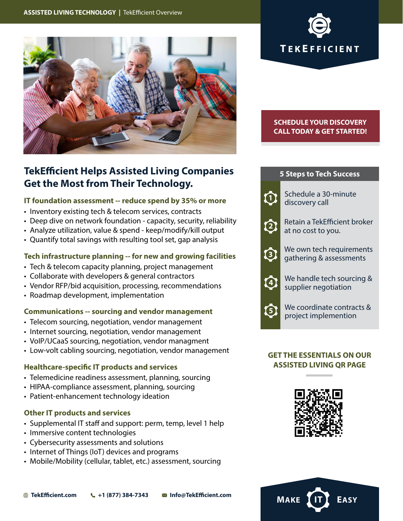



### **[SCHEDULE YOUR DISCOVERY](https://tekefficient.com/restaurant-technology/)  CALL TODAY & GET STARTED!**

# **1 2 3** Schedule a 30-minute discovery call Retain a TekEfficient broker at no cost to you. We own tech requirements gathering & assessments **5 Steps to Tech Success 4** We handle tech sourcing & supplier negotiation **5** We coordinate contracts & project implemention

### **GET THE ESSENTIALS ON OUR ASSISTED LIVING QR PAGE**



**MAKE** 

# **TekEfficient Helps Assisted Living Companies Get the Most from Their Technology.**

# **IT foundation assessment -- reduce spend by 35% or more**

- Inventory existing tech & telecom services, contracts
- Deep dive on network foundation capacity, security, reliability
- Analyze utilization, value & spend keep/modify/kill output
- Quantify total savings with resulting tool set, gap analysis

# **Tech infrastructure planning -- for new and growing facilities**

- Tech & telecom capacity planning, project management
- Collaborate with developers & general contractors
- Vendor RFP/bid acquisition, processing, recommendations
- Roadmap development, implementation

# **Communications -- sourcing and vendor management**

- Telecom sourcing, negotiation, vendor management
- Internet sourcing, negotiation, vendor management
- VoIP/UCaaS sourcing, negotiation, vendor managment
- Low-volt cabling sourcing, negotiation, vendor management

### **Healthcare-specific IT products and services**

- Telemedicine readiness assessment, planning, sourcing
- HIPAA-compliance assessment, planning, sourcing
- Patient-enhancement technology ideation

# **Other IT products and services**

- Supplemental IT staff and support: perm, temp, level 1 help
- Immersive content technologies
- Cybersecurity assessments and solutions
- Internet of Things (IoT) devices and programs
- Mobile/Mobility (cellular, tablet, etc.) assessment, sourcing